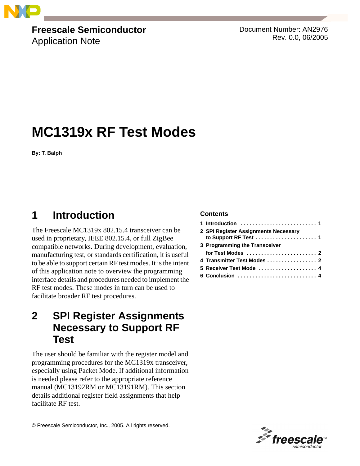

## **Freescale Semiconductor**

Application Note

Document Number: AN2976 Rev. 0.0, 06/2005

# **MC1319x RF Test Modes**

**By: T. Balph**

## <span id="page-0-0"></span>**1 Introduction**

The Freescale MC1319x 802.15.4 transceiver can be used in proprietary, IEEE 802.15.4, or full ZigBee compatible networks. During development, evaluation, manufacturing test, or standards certification, it is useful to be able to support certain RF test modes. It is the intent of this application note to overview the programming interface details and procedures needed to implement the RF test modes. These modes in turn can be used to facilitate broader RF test procedures.

### <span id="page-0-1"></span>**2 SPI Register Assignments Necessary to Support RF Test**

The user should be familiar with the register model and programming procedures for the MC1319x transceiver, especially using Packet Mode. If additional information is needed please refer to the appropriate reference manual (MC13192RM or MC13191RM). This section details additional register field assignments that help facilitate RF test.

© Freescale Semiconductor, Inc., 2005. All rights reserved.

#### **Contents**

| 2 SPI Register Assignments Necessary<br>to Support RF Test  1       |
|---------------------------------------------------------------------|
| 3 Programming the Transceiver                                       |
| for Test Modes $\ldots \ldots \ldots \ldots \ldots \ldots \ldots 2$ |
|                                                                     |
| 5 Receiver Test Mode  4                                             |
| 6 Conclusion $\ldots \ldots \ldots \ldots \ldots \ldots \ldots$     |

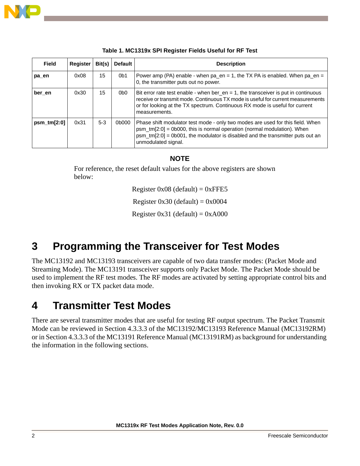

| Field          | Register | Bit(s) | <b>Default</b>  | <b>Description</b>                                                                                                                                                                                                                                                       |
|----------------|----------|--------|-----------------|--------------------------------------------------------------------------------------------------------------------------------------------------------------------------------------------------------------------------------------------------------------------------|
| pa en          | 0x08     | 15     | 0 <sub>b1</sub> | Power amp (PA) enable - when $pa_{en} = 1$ , the TX PA is enabled. When $pa_{en} =$<br>0, the transmitter puts out no power.                                                                                                                                             |
| ber en         | 0x30     | 15     | 0b0             | Bit error rate test enable - when ber_en = 1, the transceiver is put in continuous<br>receive or transmit mode. Continuous TX mode is useful for current measurements<br>or for looking at the TX spectrum. Continuous RX mode is useful for current<br>measurements.    |
| $psm$ _tm[2:0] | 0x31     | $5-3$  | 0b000           | Phase shift modulator test mode - only two modes are used for this field. When<br>psm_tm[2:0] = 0b000, this is normal operation (normal modulation). When<br>$psm_{m}$ tm[2:0] = 0b001, the modulator is disabled and the transmitter puts out an<br>unmodulated signal. |

| Table 1. MC1319x SPI Register Fields Useful for RF Test |  |  |  |
|---------------------------------------------------------|--|--|--|
|                                                         |  |  |  |

#### **NOTE**

For reference, the reset default values for the above registers are shown below:

Register  $0x08$  (default) =  $0xFFE5$ 

Register  $0x30$  (default) =  $0x0004$ 

Register  $0x31$  (default) =  $0xA000$ 

### <span id="page-1-0"></span>**3 Programming the Transceiver for Test Modes**

The MC13192 and MC13193 transceivers are capable of two data transfer modes: (Packet Mode and Streaming Mode). The MC13191 transceiver supports only Packet Mode. The Packet Mode should be used to implement the RF test modes. The RF modes are activated by setting appropriate control bits and then invoking RX or TX packet data mode.

### <span id="page-1-1"></span>**4 Transmitter Test Modes**

There are several transmitter modes that are useful for testing RF output spectrum. The Packet Transmit Mode can be reviewed in Section 4.3.3.3 of the MC13192/MC13193 Reference Manual (MC13192RM) or in Section 4.3.3.3 of the MC13191 Reference Manual (MC13191RM) as background for understanding the information in the following sections.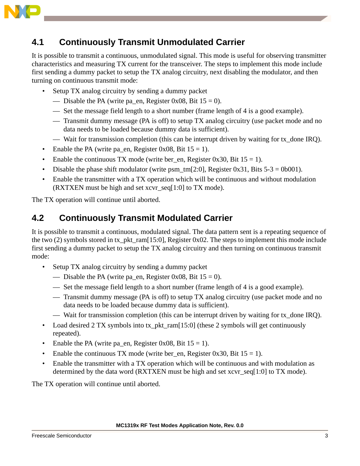

### **4.1 Continuously Transmit Unmodulated Carrier**

It is possible to transmit a continuous, unmodulated signal. This mode is useful for observing transmitter characteristics and measuring TX current for the transceiver. The steps to implement this mode include first sending a dummy packet to setup the TX analog circuitry, next disabling the modulator, and then turning on continuous transmit mode:

- Setup TX analog circuitry by sending a dummy packet
	- Disable the PA (write pa\_en, Register 0x08, Bit  $15 = 0$ ).
	- Set the message field length to a short number (frame length of 4 is a good example).
	- Transmit dummy message (PA is off) to setup TX analog circuitry (use packet mode and no data needs to be loaded because dummy data is sufficient).
	- Wait for transmission completion (this can be interrupt driven by waiting for tx done IRQ).
- Enable the PA (write pa\_en, Register 0x08, Bit  $15 = 1$ ).
- Enable the continuous TX mode (write ber en, Register 0x30, Bit  $15 = 1$ ).
- Disable the phase shift modulator (write  $psm_{m}$ [2:0], Register 0x31, Bits 5-3 = 0b001).
- Enable the transmitter with a TX operation which will be continuous and without modulation (RXTXEN must be high and set xcvr\_seq[1:0] to TX mode).

The TX operation will continue until aborted.

### **4.2 Continuously Transmit Modulated Carrier**

It is possible to transmit a continuous, modulated signal. The data pattern sent is a repeating sequence of the two (2) symbols stored in tx\_pkt\_ram[15:0], Register 0x02. The steps to implement this mode include first sending a dummy packet to setup the TX analog circuitry and then turning on continuous transmit mode:

- Setup TX analog circuitry by sending a dummy packet
	- Disable the PA (write pa\_en, Register 0x08, Bit  $15 = 0$ ).
	- Set the message field length to a short number (frame length of 4 is a good example).
	- Transmit dummy message (PA is off) to setup TX analog circuitry (use packet mode and no data needs to be loaded because dummy data is sufficient).
	- Wait for transmission completion (this can be interrupt driven by waiting for tx done IRO).
- Load desired 2 TX symbols into tx\_pkt\_ram[15:0] (these 2 symbols will get continuously repeated).
- Enable the PA (write pa\_en, Register 0x08, Bit  $15 = 1$ ).
- Enable the continuous TX mode (write ber en, Register 0x30, Bit  $15 = 1$ ).
- Enable the transmitter with a TX operation which will be continuous and with modulation as determined by the data word (RXTXEN must be high and set xcvr\_seq[1:0] to TX mode).

The TX operation will continue until aborted.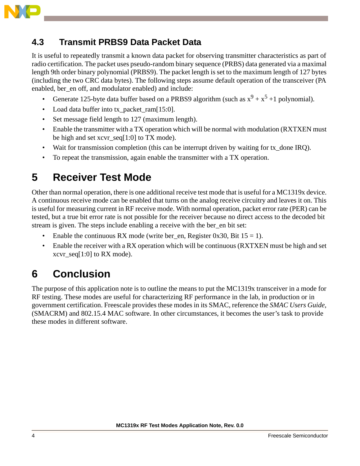

### **4.3 Transmit PRBS9 Data Packet Data**

It is useful to repeatedly transmit a known data packet for observing transmitter characteristics as part of radio certification. The packet uses pseudo-random binary sequence (PRBS) data generated via a maximal length 9th order binary polynomial (PRBS9). The packet length is set to the maximum length of 127 bytes (including the two CRC data bytes). The following steps assume default operation of the transceiver (PA enabled, ber en off, and modulator enabled) and include:

- Generate 125-byte data buffer based on a PRBS9 algorithm (such as  $x^9 + x^5 + 1$  polynomial).
- Load data buffer into tx\_packet\_ram[15:0].
- Set message field length to 127 (maximum length).
- Enable the transmitter with a TX operation which will be normal with modulation (RXTXEN must be high and set xcvr\_seq[1:0] to TX mode).
- Wait for transmission completion (this can be interrupt driven by waiting for tx done IRO).
- To repeat the transmission, again enable the transmitter with a TX operation.

### <span id="page-3-0"></span>**5 Receiver Test Mode**

Other than normal operation, there is one additional receive test mode that is useful for a MC1319x device. A continuous receive mode can be enabled that turns on the analog receive circuitry and leaves it on. This is useful for measuring current in RF receive mode. With normal operation, packet error rate (PER) can be tested, but a true bit error rate is not possible for the receiver because no direct access to the decoded bit stream is given. The steps include enabling a receive with the ber\_en bit set:

- Enable the continuous RX mode (write ber\_en, Register 0x30, Bit  $15 = 1$ ).
- Enable the receiver with a RX operation which will be continuous (RXTXEN must be high and set xcvr  $seq[1:0]$  to RX mode).

## <span id="page-3-1"></span>**6 Conclusion**

The purpose of this application note is to outline the means to put the MC1319x transceiver in a mode for RF testing. These modes are useful for characterizing RF performance in the lab, in production or in government certification. Freescale provides these modes in its SMAC, reference the *SMAC Users Guide*, (SMACRM) and 802.15.4 MAC software. In other circumstances, it becomes the user's task to provide these modes in different software.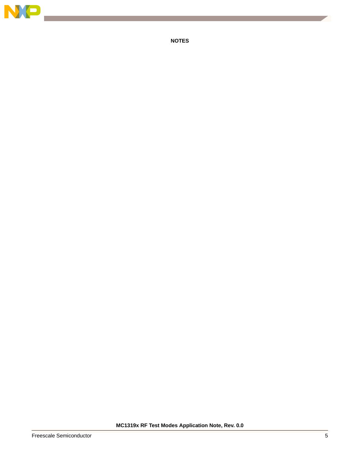

**NOTES**